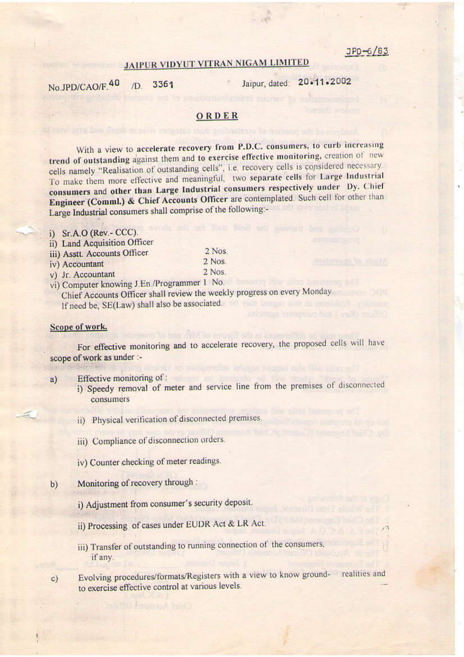# **JAIPUR VIDYUT VITRAN NIGAM LIMITED**

No.JPD/CAO/F.40  $/D$ . 3361 Jaipur, dated: 20-11-2002

#### ORDER

With a view to accelerate recovery from P.D.C. consumers, to curb increasing trend of outstanding against them and to exercise effective monitoring, creation of new cells namely "Realisation of outstanding cells", i.e. recovery cells is considered necessary. To make them more effective and meaningful, two separate cells for Large Industrial consumers and other than Large Industrial consumers respectively under Dy. Chief Engineer (Comml.) & Chief Accounts Officer are contemplated. Such cell for other than Large Industrial consumers shall comprise of the following:-

- i)  $Sr.A.O (Rev.-CCC).$
- ii) Land Acquisition Officer

| iii) Asstt. Accounts Officer | $2$ Nos. |
|------------------------------|----------|
| iv) Accountant               | $2$ Nos. |
| v) Jr. Accountant            | $2$ Nos. |

vi) Computer knowing J.En./Programmer 1 No.

Chief Accounts Officer shall review the weekly progress on every Monday. If need be, SE(Law) shall also be associated.

#### Scope of work.

For effective monitoring and to accelerate recovery, the proposed cells will have scope of work as under :-

- Effective monitoring of:  $a)$ 
	- i) Speedy removal of meter and service line from the premises of disconnected consumers
		- ii) Physical verification of disconnected premises.
	- iii) Compliance of disconnection orders.
	- iv) Counter checking of meter readings.
- Monitoring of recovery through :  $b)$

i) Adjustment from consumer's security deposit.

- ii) Processing of cases under EUDR Act & LR Act.
- iii) Transfer of outstanding to running connection of the consumers, if any.
- Evolving procedures/formats/Registers with a view to know ground- realities and  $c)$ to exercise effective control at various levels.